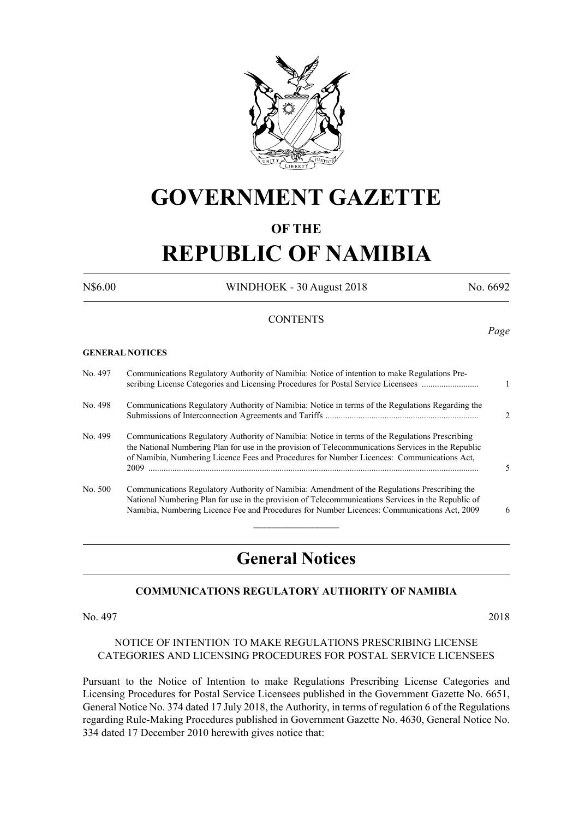

# **GOVERNMENT GAZETTE**

# **OF THE**

# **REPUBLIC OF NAMIBIA**

N\$6.00 WINDHOEK - 30 August 2018 No. 6692

*Page*

#### **CONTENTS**

#### **GENERAL NOTICES**

| No. 497 | Communications Regulatory Authority of Namibia: Notice of intention to make Regulations Pre-<br>scribing License Categories and Licensing Procedures for Postal Service Licensees                                                                                                                   |                |
|---------|-----------------------------------------------------------------------------------------------------------------------------------------------------------------------------------------------------------------------------------------------------------------------------------------------------|----------------|
| No. 498 | Communications Regulatory Authority of Namibia: Notice in terms of the Regulations Regarding the                                                                                                                                                                                                    | $\mathfrak{D}$ |
| No. 499 | Communications Regulatory Authority of Namibia: Notice in terms of the Regulations Prescribing<br>the National Numbering Plan for use in the provision of Telecommunications Services in the Republic<br>of Namibia, Numbering Licence Fees and Procedures for Number Licences: Communications Act, |                |
| No. 500 | Communications Regulatory Authority of Namibia: Amendment of the Regulations Prescribing the<br>National Numbering Plan for use in the provision of Telecommunications Services in the Republic of<br>Namibia, Numbering Licence Fee and Procedures for Number Licences: Communications Act, 2009   | 6              |
|         |                                                                                                                                                                                                                                                                                                     |                |

# **General Notices**

# **COMMUNICATIONS REGULATORY AUTHORITY OF NAMIBIA**

No. 497 2018

#### NOTICE OF INTENTION TO MAKE REGULATIONS PRESCRIBING LICENSE CATEGORIES AND LICENSING PROCEDURES FOR POSTAL SERVICE LICENSEES

Pursuant to the Notice of Intention to make Regulations Prescribing License Categories and Licensing Procedures for Postal Service Licensees published in the Government Gazette No. 6651, General Notice No. 374 dated 17 July 2018, the Authority, in terms of regulation 6 of the Regulations regarding Rule-Making Procedures published in Government Gazette No. 4630, General Notice No. 334 dated 17 December 2010 herewith gives notice that: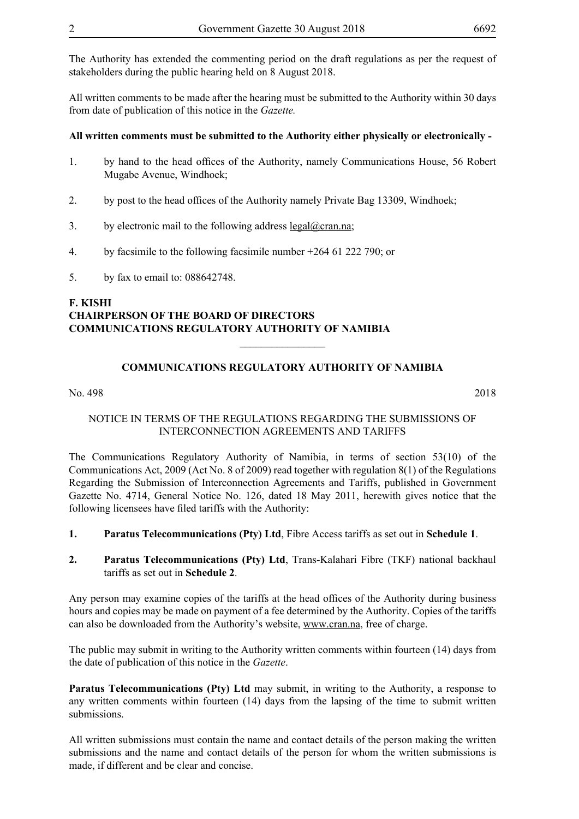The Authority has extended the commenting period on the draft regulations as per the request of stakeholders during the public hearing held on 8 August 2018.

All written comments to be made after the hearing must be submitted to the Authority within 30 days from date of publication of this notice in the *Gazette.* 

#### **All written comments must be submitted to the Authority either physically or electronically -**

- 1. by hand to the head offices of the Authority, namely Communications House, 56 Robert Mugabe Avenue, Windhoek;
- 2. by post to the head offices of the Authority namely Private Bag 13309, Windhoek;
- 3. by electronic mail to the following address  $\text{legal@cran.na}$ ;
- 4. by facsimile to the following facsimile number +264 61 222 790; or
- 5. by fax to email to: 088642748.

# **F. KISHI CHAIRPERSON OF THE BOARD OF DIRECTORS COMMUNICATIONS REGULATORY AUTHORITY OF NAMIBIA**

# **COMMUNICATIONS REGULATORY AUTHORITY OF NAMIBIA**

 $\overline{\phantom{a}}$  , where  $\overline{\phantom{a}}$ 

No. 498 2018

#### NOTICE IN TERMS OF THE REGULATIONS REGARDING THE SUBMISSIONS OF INTERCONNECTION AGREEMENTS AND TARIFFS

The Communications Regulatory Authority of Namibia, in terms of section 53(10) of the Communications Act, 2009 (Act No. 8 of 2009) read together with regulation 8(1) of the Regulations Regarding the Submission of Interconnection Agreements and Tariffs, published in Government Gazette No. 4714, General Notice No. 126, dated 18 May 2011, herewith gives notice that the following licensees have filed tariffs with the Authority:

- **1. Paratus Telecommunications (Pty) Ltd**, Fibre Access tariffs as set out in **Schedule 1**.
- **2. Paratus Telecommunications (Pty) Ltd**, Trans-Kalahari Fibre (TKF) national backhaul tariffs as set out in **Schedule 2**.

Any person may examine copies of the tariffs at the head offices of the Authority during business hours and copies may be made on payment of a fee determined by the Authority. Copies of the tariffs can also be downloaded from the Authority's website, www.cran.na, free of charge.

The public may submit in writing to the Authority written comments within fourteen (14) days from the date of publication of this notice in the *Gazette*.

Paratus Telecommunications (Pty) Ltd may submit, in writing to the Authority, a response to any written comments within fourteen (14) days from the lapsing of the time to submit written submissions.

All written submissions must contain the name and contact details of the person making the written submissions and the name and contact details of the person for whom the written submissions is made, if different and be clear and concise.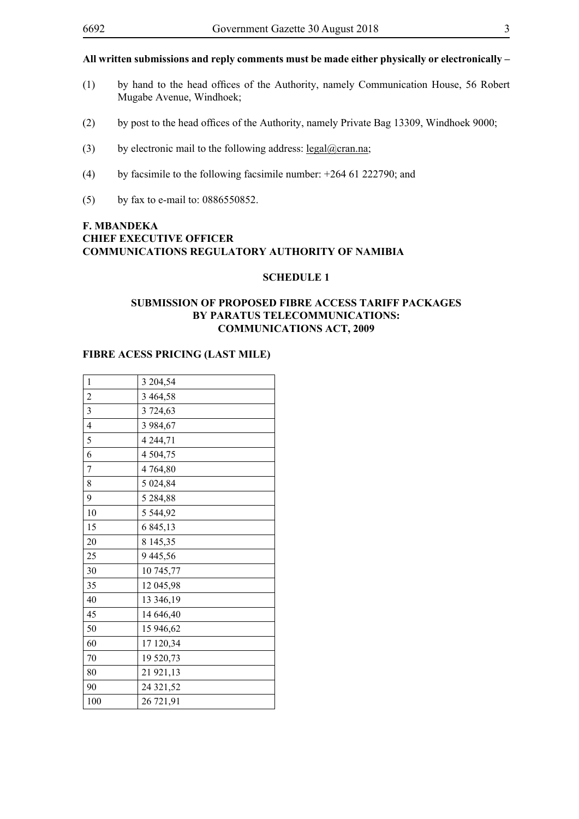# **All written submissions and reply comments must be made either physically or electronically –**

- (1) by hand to the head offices of the Authority, namely Communication House, 56 Robert Mugabe Avenue, Windhoek;
- (2) by post to the head offices of the Authority, namely Private Bag 13309, Windhoek 9000;
- (3) by electronic mail to the following address:  $\text{legal}(\partial \text{cran}.\text{na})$ ;
- (4) by facsimile to the following facsimile number: +264 61 222790; and
- (5) by fax to e-mail to: 0886550852.

# **F. MBANDEKA CHIEF EXECUTIVE OFFICER COMMUNICATIONS REGULATORY AUTHORITY OF NAMIBIA**

# **SCHEDULE 1**

#### **SUBMISSION OF PROPOSED FIBRE ACCESS TARIFF PACKAGES BY PARATUS TELECOMMUNICATIONS: COMMUNICATIONS ACT, 2009**

#### **FIBRE ACESS PRICING (LAST MILE)**

| $\mathbf{1}$            | 3 204,54      |  |  |  |  |
|-------------------------|---------------|--|--|--|--|
| $\overline{c}$          | 3 4 6 4 5 8   |  |  |  |  |
| $\overline{\mathbf{3}}$ | 3 724,63      |  |  |  |  |
| $\overline{4}$          | 3 984,67      |  |  |  |  |
| 5                       | 4 2 4 4 , 7 1 |  |  |  |  |
| 6                       | 4 504,75      |  |  |  |  |
| 7                       | 4764,80       |  |  |  |  |
| 8                       | 5 024,84      |  |  |  |  |
| 9                       | 5 284,88      |  |  |  |  |
| 10                      | 5 5 4 4 , 9 2 |  |  |  |  |
| 15                      | 6 845,13      |  |  |  |  |
| 20                      | 8 145,35      |  |  |  |  |
| 25                      | 9445,56       |  |  |  |  |
| 30                      | 10 745,77     |  |  |  |  |
| 35                      | 12 045,98     |  |  |  |  |
| 40                      | 13 346,19     |  |  |  |  |
| 45                      | 14 646,40     |  |  |  |  |
| 50                      | 15 946,62     |  |  |  |  |
| 60                      | 17 120,34     |  |  |  |  |
| 70                      | 19 520,73     |  |  |  |  |
| 80                      | 21 921,13     |  |  |  |  |
| 90                      | 24 321,52     |  |  |  |  |
| 100                     | 26 721,91     |  |  |  |  |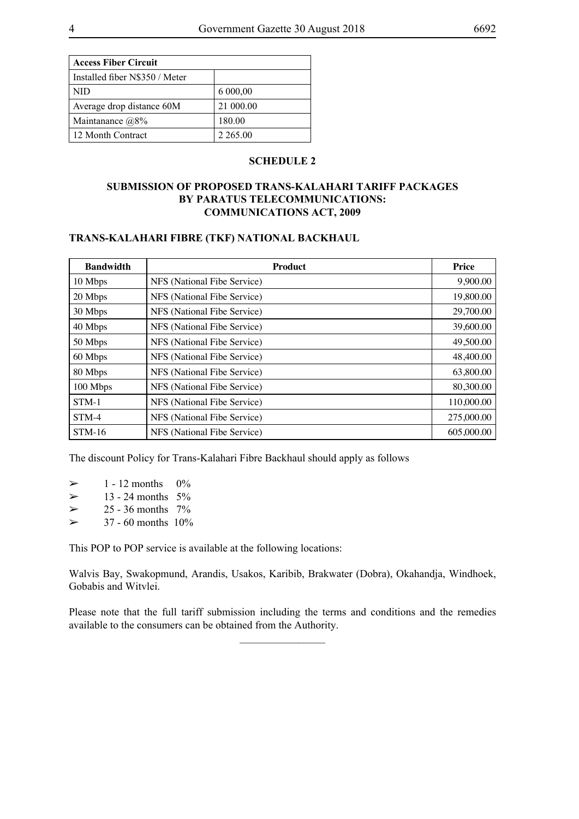| <b>Access Fiber Circuit</b>    |             |
|--------------------------------|-------------|
| Installed fiber N\$350 / Meter |             |
| NID                            | 6 000,00    |
| Average drop distance 60M      | 21 000.00   |
| Maintanance $@8\%$             | 180.00      |
| 12 Month Contract              | 2 2 6 5 .00 |

#### **SCHEDULE 2**

# **SUBMISSION OF PROPOSED TRANS-KALAHARI TARIFF PACKAGES BY PARATUS TELECOMMUNICATIONS: COMMUNICATIONS ACT, 2009**

#### **TRANS-KALAHARI FIBRE (TKF) NATIONAL BACKHAUL**

| <b>Bandwidth</b> | <b>Product</b>              | <b>Price</b> |
|------------------|-----------------------------|--------------|
| 10 Mbps          | NFS (National Fibe Service) | 9,900.00     |
| 20 Mbps          | NFS (National Fibe Service) | 19,800.00    |
| 30 Mbps          | NFS (National Fibe Service) | 29,700.00    |
| 40 Mbps          | NFS (National Fibe Service) | 39,600.00    |
| 50 Mbps          | NFS (National Fibe Service) | 49,500.00    |
| 60 Mbps          | NFS (National Fibe Service) | 48,400.00    |
| 80 Mbps          | NFS (National Fibe Service) | 63,800.00    |
| 100 Mbps         | NFS (National Fibe Service) | 80,300.00    |
| $STM-1$          | NFS (National Fibe Service) | 110,000.00   |
| STM-4            | NFS (National Fibe Service) | 275,000.00   |
| $STM-16$         | NFS (National Fibe Service) | 605,000.00   |

The discount Policy for Trans-Kalahari Fibre Backhaul should apply as follows

| ➤ | 1 - 12 months | 0% |
|---|---------------|----|
|   |               |    |

- $> 13 24$  months 5%
- $> 25 36$  months 7%
- $> 37 60$  months  $10\%$

This POP to POP service is available at the following locations:

Walvis Bay, Swakopmund, Arandis, Usakos, Karibib, Brakwater (Dobra), Okahandja, Windhoek, Gobabis and Witvlei.

Please note that the full tariff submission including the terms and conditions and the remedies available to the consumers can be obtained from the Authority.

 $\frac{1}{2}$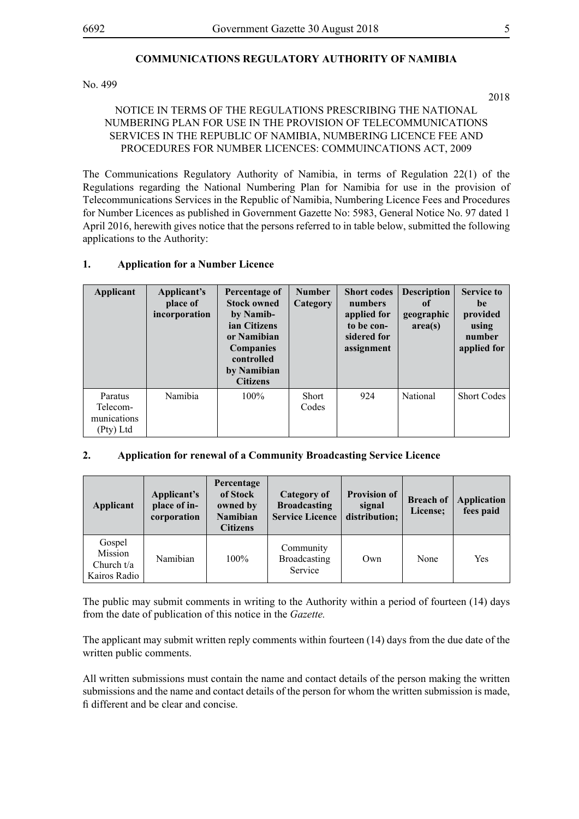# **COMMUNICATIONS REGULATORY AUTHORITY OF NAMIBIA**

No. 499

NOTICE IN TERMS OF THE REGULATIONS PRESCRIBING THE NATIONAL NUMBERING PLAN FOR USE IN THE PROVISION OF TELECOMMUNICATIONS SERVICES IN THE REPUBLIC OF NAMIBIA, NUMBERING LICENCE FEE AND PROCEDURES FOR NUMBER LICENCES: COMMUINCATIONS ACT, 2009

The Communications Regulatory Authority of Namibia, in terms of Regulation 22(1) of the Regulations regarding the National Numbering Plan for Namibia for use in the provision of Telecommunications Services in the Republic of Namibia, Numbering Licence Fees and Procedures for Number Licences as published in Government Gazette No: 5983, General Notice No. 97 dated 1 April 2016, herewith gives notice that the persons referred to in table below, submitted the following applications to the Authority:

#### **1. Application for a Number Licence**

| <b>Applicant</b>                                | Applicant's<br>place of<br>incorporation | Percentage of<br><b>Stock owned</b><br>by Namib-<br>ian Citizens<br>or Namibian<br><b>Companies</b><br>controlled<br>by Namibian<br><b>Citizens</b> | <b>Number</b><br>Category | <b>Short codes</b><br>numbers<br>applied for<br>to be con-<br>sidered for<br>assignment | <b>Description</b><br>0f<br>geographic<br>area(s) | <b>Service to</b><br>be<br>provided<br>using<br>number<br>applied for |
|-------------------------------------------------|------------------------------------------|-----------------------------------------------------------------------------------------------------------------------------------------------------|---------------------------|-----------------------------------------------------------------------------------------|---------------------------------------------------|-----------------------------------------------------------------------|
| Paratus<br>Telecom-<br>munications<br>(Pty) Ltd | Namibia                                  | $100\%$                                                                                                                                             | <b>Short</b><br>Codes     | 924                                                                                     | National                                          | <b>Short Codes</b>                                                    |

#### **2. Application for renewal of a Community Broadcasting Service Licence**

| Applicant                                         | Applicant's<br>place of in-<br>corporation | Percentage<br>of Stock<br>owned by<br>Namibian<br><b>Citizens</b> | <b>Category of</b><br><b>Broadcasting</b><br><b>Service Licence</b> | <b>Provision of</b><br>signal<br>distribution; | <b>Breach of</b><br>License; | <b>Application</b><br>fees paid |
|---------------------------------------------------|--------------------------------------------|-------------------------------------------------------------------|---------------------------------------------------------------------|------------------------------------------------|------------------------------|---------------------------------|
| Gospel<br>Mission<br>Church $t/a$<br>Kairos Radio | Namibian                                   | $100\%$                                                           | Community<br>Broadcasting<br>Service                                | Own                                            | None                         | Yes                             |

The public may submit comments in writing to the Authority within a period of fourteen (14) days from the date of publication of this notice in the *Gazette.*

The applicant may submit written reply comments within fourteen (14) days from the due date of the written public comments.

All written submissions must contain the name and contact details of the person making the written submissions and the name and contact details of the person for whom the written submission is made, fi different and be clear and concise.

2018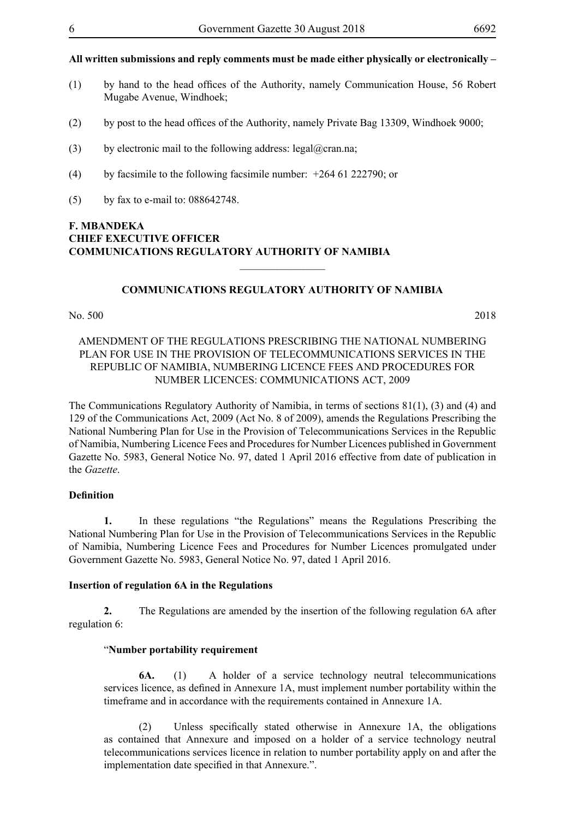#### **All written submissions and reply comments must be made either physically or electronically –**

- (1) by hand to the head offices of the Authority, namely Communication House, 56 Robert Mugabe Avenue, Windhoek;
- (2) by post to the head offices of the Authority, namely Private Bag 13309, Windhoek 9000;
- (3) by electronic mail to the following address: legal@cran.na;
- (4) by facsimile to the following facsimile number: +264 61 222790; or
- (5) by fax to e-mail to: 088642748.

### **F. MBANDEKA CHIEF EXECUTIVE OFFICER COMMUNICATIONS REGULATORY AUTHORITY OF NAMIBIA**  $\frac{1}{2}$

#### **COMMUNICATIONS REGULATORY AUTHORITY OF NAMIBIA**

#### No. 500 2018

#### AMENDMENT OF THE REGULATIONS PRESCRIBING THE NATIONAL NUMBERING PLAN FOR USE IN THE PROVISION OF TELECOMMUNICATIONS SERVICES IN THE REPUBLIC OF NAMIBIA, NUMBERING LICENCE FEES AND PROCEDURES FOR NUMBER LICENCES: COMMUNICATIONS ACT, 2009

The Communications Regulatory Authority of Namibia, in terms of sections 81(1), (3) and (4) and 129 of the Communications Act, 2009 (Act No. 8 of 2009), amends the Regulations Prescribing the National Numbering Plan for Use in the Provision of Telecommunications Services in the Republic of Namibia, Numbering Licence Fees and Procedures for Number Licences published in Government Gazette No. 5983, General Notice No. 97, dated 1 April 2016 effective from date of publication in the *Gazette*.

#### **Definition**

**1.** In these regulations "the Regulations" means the Regulations Prescribing the National Numbering Plan for Use in the Provision of Telecommunications Services in the Republic of Namibia, Numbering Licence Fees and Procedures for Number Licences promulgated under Government Gazette No. 5983, General Notice No. 97, dated 1 April 2016.

#### **Insertion of regulation 6A in the Regulations**

**2.** The Regulations are amended by the insertion of the following regulation 6A after regulation 6:

#### "**Number portability requirement**

**6A.** (1) A holder of a service technology neutral telecommunications services licence, as defined in Annexure 1A, must implement number portability within the timeframe and in accordance with the requirements contained in Annexure 1A.

 (2) Unless specifically stated otherwise in Annexure 1A, the obligations as contained that Annexure and imposed on a holder of a service technology neutral telecommunications services licence in relation to number portability apply on and after the implementation date specified in that Annexure.".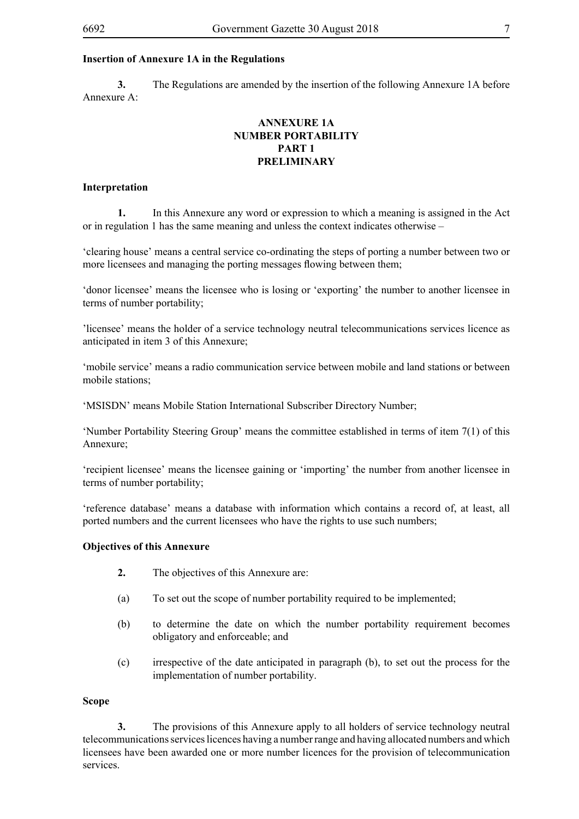# **Insertion of Annexure 1A in the Regulations**

**3.** The Regulations are amended by the insertion of the following Annexure 1A before Annexure A:

# **ANNEXURE 1A NUMBER PORTABILITY PART 1 PRELIMINARY**

# **Interpretation**

**1.** In this Annexure any word or expression to which a meaning is assigned in the Act or in regulation 1 has the same meaning and unless the context indicates otherwise –

'clearing house' means a central service co-ordinating the steps of porting a number between two or more licensees and managing the porting messages flowing between them;

'donor licensee' means the licensee who is losing or 'exporting' the number to another licensee in terms of number portability;

'licensee' means the holder of a service technology neutral telecommunications services licence as anticipated in item 3 of this Annexure;

'mobile service' means a radio communication service between mobile and land stations or between mobile stations;

'MSISDN' means Mobile Station International Subscriber Directory Number;

'Number Portability Steering Group' means the committee established in terms of item 7(1) of this Annexure;

'recipient licensee' means the licensee gaining or 'importing' the number from another licensee in terms of number portability;

'reference database' means a database with information which contains a record of, at least, all ported numbers and the current licensees who have the rights to use such numbers;

# **Objectives of this Annexure**

- **2.** The objectives of this Annexure are:
- (a) To set out the scope of number portability required to be implemented;
- (b) to determine the date on which the number portability requirement becomes obligatory and enforceable; and
- (c) irrespective of the date anticipated in paragraph (b), to set out the process for the implementation of number portability.

# **Scope**

**3.** The provisions of this Annexure apply to all holders of service technology neutral telecommunications services licences having a number range and having allocated numbers and which licensees have been awarded one or more number licences for the provision of telecommunication services.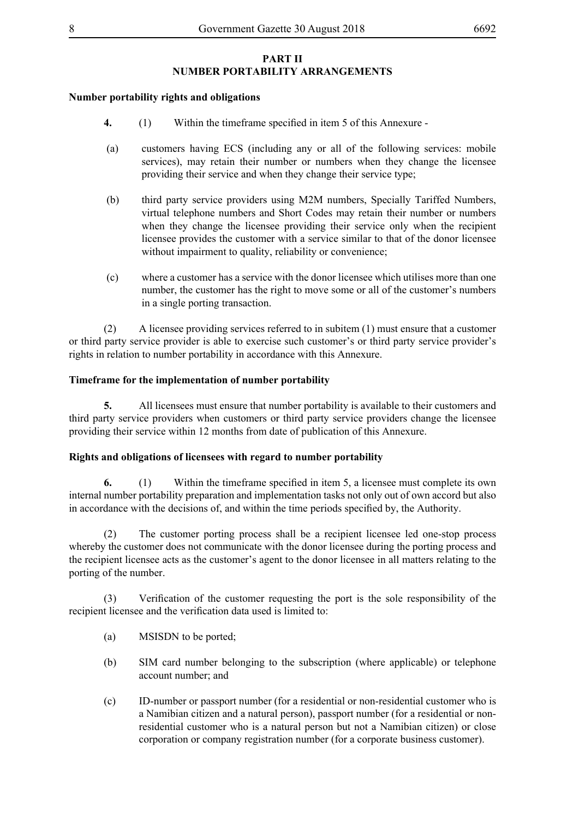# **PART II NUMBER PORTABILITY ARRANGEMENTS**

#### **Number portability rights and obligations**

- **4.** (1) Within the timeframe specified in item 5 of this Annexure -
- (a) customers having ECS (including any or all of the following services: mobile services), may retain their number or numbers when they change the licensee providing their service and when they change their service type;
- (b) third party service providers using M2M numbers, Specially Tariffed Numbers, virtual telephone numbers and Short Codes may retain their number or numbers when they change the licensee providing their service only when the recipient licensee provides the customer with a service similar to that of the donor licensee without impairment to quality, reliability or convenience;
- (c) where a customer has a service with the donor licensee which utilises more than one number, the customer has the right to move some or all of the customer's numbers in a single porting transaction.

(2) A licensee providing services referred to in subitem (1) must ensure that a customer or third party service provider is able to exercise such customer's or third party service provider's rights in relation to number portability in accordance with this Annexure.

#### **Timeframe for the implementation of number portability**

**5.** All licensees must ensure that number portability is available to their customers and third party service providers when customers or third party service providers change the licensee providing their service within 12 months from date of publication of this Annexure.

#### **Rights and obligations of licensees with regard to number portability**

**6.** (1) Within the timeframe specified in item 5, a licensee must complete its own internal number portability preparation and implementation tasks not only out of own accord but also in accordance with the decisions of, and within the time periods specified by, the Authority.

(2) The customer porting process shall be a recipient licensee led one-stop process whereby the customer does not communicate with the donor licensee during the porting process and the recipient licensee acts as the customer's agent to the donor licensee in all matters relating to the porting of the number.

 (3) Verification of the customer requesting the port is the sole responsibility of the recipient licensee and the verification data used is limited to:

- (a) MSISDN to be ported;
- (b) SIM card number belonging to the subscription (where applicable) or telephone account number; and
- (c) ID-number or passport number (for a residential or non-residential customer who is a Namibian citizen and a natural person), passport number (for a residential or nonresidential customer who is a natural person but not a Namibian citizen) or close corporation or company registration number (for a corporate business customer).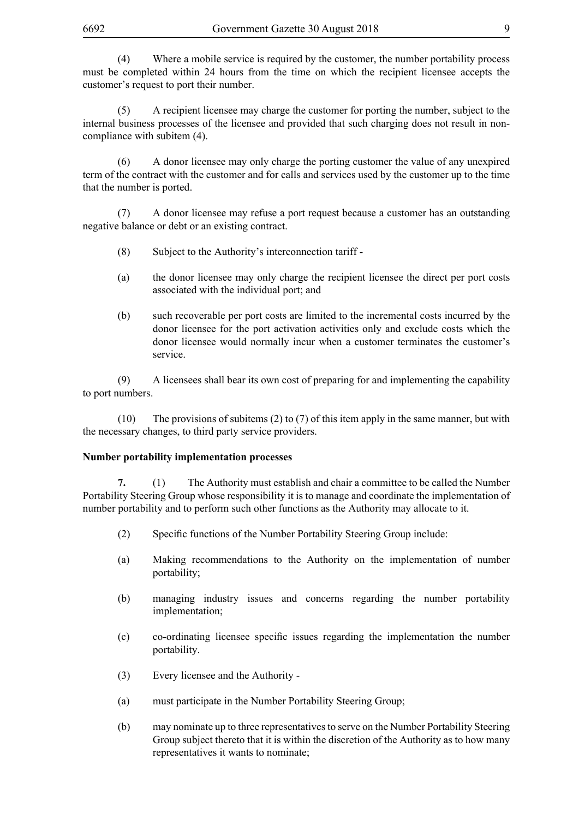(4) Where a mobile service is required by the customer, the number portability process must be completed within 24 hours from the time on which the recipient licensee accepts the customer's request to port their number.

(5) A recipient licensee may charge the customer for porting the number, subject to the internal business processes of the licensee and provided that such charging does not result in noncompliance with subitem (4).

(6) A donor licensee may only charge the porting customer the value of any unexpired term of the contract with the customer and for calls and services used by the customer up to the time that the number is ported.

(7) A donor licensee may refuse a port request because a customer has an outstanding negative balance or debt or an existing contract.

- (8) Subject to the Authority's interconnection tariff -
- (a) the donor licensee may only charge the recipient licensee the direct per port costs associated with the individual port; and
- (b) such recoverable per port costs are limited to the incremental costs incurred by the donor licensee for the port activation activities only and exclude costs which the donor licensee would normally incur when a customer terminates the customer's service.

(9) A licensees shall bear its own cost of preparing for and implementing the capability to port numbers.

(10) The provisions of subitems (2) to (7) of this item apply in the same manner, but with the necessary changes, to third party service providers.

#### **Number portability implementation processes**

**7.** (1) The Authority must establish and chair a committee to be called the Number Portability Steering Group whose responsibility it is to manage and coordinate the implementation of number portability and to perform such other functions as the Authority may allocate to it.

- (2) Specific functions of the Number Portability Steering Group include:
- (a) Making recommendations to the Authority on the implementation of number portability;
- (b) managing industry issues and concerns regarding the number portability implementation;
- (c) co-ordinating licensee specific issues regarding the implementation the number portability.
- (3) Every licensee and the Authority -
- (a) must participate in the Number Portability Steering Group;
- (b) may nominate up to three representatives to serve on the Number Portability Steering Group subject thereto that it is within the discretion of the Authority as to how many representatives it wants to nominate;